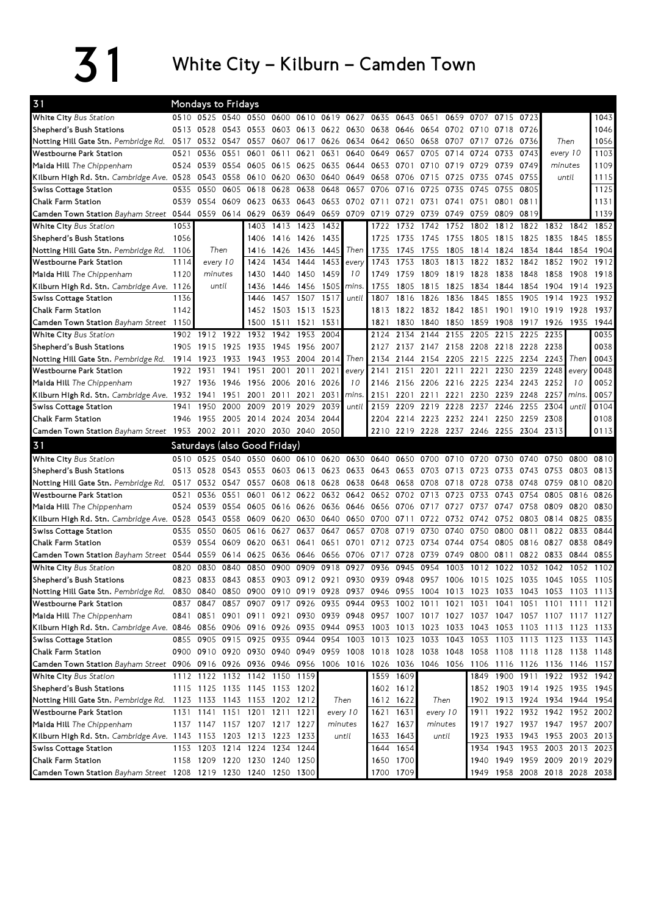$31$  White City – Kilburn – Camden Town

| 31                                                                                                                             |      | <b>Mondays to Fridays</b>                                                                 |      |                                                                                 |      |                     |      |                               |           |           |                                         |       |                |      |      |                               |       |      |
|--------------------------------------------------------------------------------------------------------------------------------|------|-------------------------------------------------------------------------------------------|------|---------------------------------------------------------------------------------|------|---------------------|------|-------------------------------|-----------|-----------|-----------------------------------------|-------|----------------|------|------|-------------------------------|-------|------|
| White City Bus Station                                                                                                         |      | 0510 0525 0540                                                                            |      |                                                                                 |      |                     |      | 0550 0600 0610 0619 0627 0635 |           |           | 0643 0651                               | 0659  | 0707           | 0715 | 0723 |                               |       | 1043 |
| Shepherd's Bush Stations                                                                                                       | 0513 | 0528                                                                                      | 0543 | 0553                                                                            |      |                     |      | 0603 0613 0622 0630 0638      |           | 0646      | 0654 0702 0710 0718                     |       |                |      | 0726 |                               |       | 1046 |
| Notting Hill Gate Stn. Pembridge Rd.                                                                                           | 0517 | 0532                                                                                      | 0547 | 0557                                                                            | 0607 | 0617                | 0626 | 0634 0642                     |           | 0650 0658 |                                         | 0707  | 0717           | 0726 | 0736 | Then                          |       | 1056 |
| <b>Westbourne Park Station</b>                                                                                                 | 0521 | 0536                                                                                      | 0551 | 0601                                                                            | 0611 | 0621                | 0631 | 0640                          | 0649      | 0657      | 0705                                    | 0714  | 0724           | 0733 | 0743 | every 10                      |       | 1103 |
| Maida Hill The Chippenham                                                                                                      | 0524 | 0539                                                                                      | 0554 | 0605                                                                            | 0615 | 0625                | 0635 |                               | 0644 0653 | 0701      | 0710 0719                               |       | 0729           | 0739 | 0749 | minutes                       |       | 1109 |
| Kilburn High Rd. Stn. <i>Cambridge Ave.</i> 0528                                                                               |      | 0543                                                                                      | 0558 | 0610                                                                            | 0620 | 0630                | 0640 | 0649                          | 0658      | 0706      | 0715                                    | 0725  | 0735           | 0745 | 0755 | until                         |       | 1115 |
| <b>Swiss Cottage Station</b>                                                                                                   | 0535 | 0550                                                                                      | 0605 | 0618                                                                            | 0628 | 0638                | 0648 | 0657                          | 0706      | 0716      | 0725                                    | 0735  | 0745           | 0755 | 0805 |                               |       | 1125 |
| Chalk Farm Station                                                                                                             | 0539 | 0554                                                                                      | 0609 | 0623                                                                            | 0633 | 0643                | 0653 | 0702                          | 0711      | 0721      | 0731                                    | 0741  | 0751           | 0801 | 0811 |                               |       | 1131 |
| Camden Town Station Bayham Street 0544                                                                                         |      | 0559                                                                                      | 0614 | 0629                                                                            | 0639 | 0649                | 0659 | 0709                          | 0719      | 0729      | 0739                                    | 0749  | 0759           | 0809 | 0819 |                               |       | 1139 |
| <b>White City Bus Station</b>                                                                                                  | 1053 |                                                                                           |      | 1403                                                                            | 1413 | 1423                | 1432 |                               | 1722      | 1732      | 1742                                    | 1752  | 1802           | 1812 | 1822 | 1832                          | 1842  | 1852 |
| Shepherd's Bush Stations                                                                                                       | 1056 |                                                                                           |      | 1406                                                                            |      | 1416 1426           | 1435 |                               | 1725      | 1735      | 1745                                    | 1755  | 1805           | 1815 | 1825 | 1835                          | 1845  | 1855 |
| Notting Hill Gate Stn. Pembridge Rd.                                                                                           | 1106 | Then                                                                                      |      | 1416                                                                            | 1426 | 1436                | 1445 | Then                          | 1735      | 1745      | 1755                                    | 1805  | 1814           | 1824 | 1834 | 1844                          | 1854  | 1904 |
| <b>Westbourne Park Station</b>                                                                                                 | 1114 | every 10                                                                                  |      | 1424                                                                            | 1434 | 1444                | 1453 | every                         | 1743      | 1753      | 1803                                    | 1813  | 1822           | 1832 | 1842 | 1852                          | 1902  | 1912 |
| Maida Hill The Chippenham                                                                                                      | 1120 | minutes                                                                                   |      | 1430                                                                            | 1440 | 1450                | 1459 | 10                            | 1749      | 1759      | 1809                                    | 1819  | 1828           | 1838 | 1848 | 1858                          | 1908  | 1918 |
| Kilburn High Rd. Stn. Cambridge Ave. 1126                                                                                      |      | until                                                                                     |      | 1436                                                                            | 1446 | 1456                | 1505 | mins.                         | 1755      | 1805      | 1815                                    | 1825  | 1834           | 1844 | 1854 | 1904                          | 1914  | 1923 |
| Swiss Cottage Station                                                                                                          | 1136 |                                                                                           |      | 1446                                                                            | 1457 | 1507                | 1517 | until                         | 1807      | 1816      | 1826                                    | 1836  | 1845           | 1855 | 1905 | 1914                          | 1923  | 1932 |
| Chalk Farm Station                                                                                                             | 1142 |                                                                                           |      | 1452                                                                            |      | 1503 1513           | 1523 |                               | 1813      |           | 1822 1832 1842                          |       | 1851 1901 1910 |      |      | 1919                          | 1928  | 1937 |
| Camden Town Station Bayham Street                                                                                              | 1150 |                                                                                           |      | 1500                                                                            | 1511 | 1521                | 1531 |                               | 1821      | 1830      | 1840                                    | 1850  | 1859           | 1908 | 1917 | 1926                          | 1935  | 1944 |
| <b>White City Bus Station</b>                                                                                                  | 1902 | 1912                                                                                      | 1922 | 1932                                                                            | 1942 | 1953                | 2004 |                               | 2124      | 2134      | 2144                                    | 2155  | 2205           | 2215 | 2225 | 2235                          |       | 0035 |
| Shepherd's Bush Stations                                                                                                       | 1905 | 1915                                                                                      | 1925 | 1935                                                                            |      | 1945 1956           | 2007 |                               | 2127      |           | 2137 2147 2158 2208 2218 2228           |       |                |      |      | 2238                          |       | 0038 |
| Notting Hill Gate Stn. Pembridge Rd. 1914                                                                                      |      | 1923                                                                                      | 1933 | 1943                                                                            | 1953 | 2004                | 2014 | Then                          | 2134      | 2144      | 2154                                    | 2205  | 2215           | 2225 | 2234 | 2243                          | Then  | 0043 |
| <b>Westbourne Park Station</b>                                                                                                 | 1922 | 1931                                                                                      | 1941 | 1951                                                                            | 2001 | 2011                | 2021 | every                         | 2141      | 2151      | 2201                                    | 2211  | 2221           | 2230 | 2239 | 2248                          | every | 0048 |
| Maida Hill The Chippenham                                                                                                      | 1927 | 1936                                                                                      | 1946 | 1956                                                                            | 2006 | 2016                | 2026 | 10                            | 2146      | 2156      | 2206 2216                               |       | 2225           | 2234 | 2243 | 2252                          | 10    | 0052 |
| Kilburn High Rd. Stn. Cambridge Ave. 1932                                                                                      |      | 1941                                                                                      | 1951 | 2001                                                                            | 2011 | 2021                | 2031 | mins.                         | 2151      | 2201      | 2211                                    | 2221  | 2230           | 2239 | 2248 | 2257                          | mins. | 0057 |
| <b>Swiss Cottage Station</b>                                                                                                   | 1941 | 1950                                                                                      | 2000 | 2009                                                                            | 2019 | 2029                | 2039 | until                         | 2159      | 2209      | 2219                                    | 2228  | 2237           | 2246 | 2255 | 2304                          | until | 0104 |
| <b>Chalk Farm Station</b>                                                                                                      | 1946 | 1955                                                                                      | 2005 | 2014 2024 2034                                                                  |      |                     | 2044 |                               | 2204      |           | 2214 2223 2232 2241                     |       |                | 2250 | 2259 | 2308                          |       | 0108 |
| Camden Town Station Bayham Street 1953 2002 2011 2020 2030 2040 2050                                                           |      |                                                                                           |      |                                                                                 |      |                     |      |                               |           |           | 2210 2219 2228 2237 2246 2255 2304 2313 |       |                |      |      |                               |       | 0113 |
|                                                                                                                                |      |                                                                                           |      |                                                                                 |      |                     |      |                               |           |           |                                         |       |                |      |      |                               |       |      |
| 31                                                                                                                             |      | Saturdays (also Good Friday)                                                              |      |                                                                                 |      |                     |      |                               |           |           |                                         |       |                |      |      |                               |       |      |
| <b>White City Bus Station</b>                                                                                                  | 0510 | 0525                                                                                      | 0540 |                                                                                 |      | 0550 0600 0610 0620 |      |                               | 0630 0640 | 0650 0700 |                                         | 0710  | 0720           | 0730 | 0740 | 0750                          | 0800  | 0810 |
| Shepherd's Bush Stations                                                                                                       | 0513 | 0528                                                                                      | 0543 | 0553                                                                            |      | 0603 0613           | 0623 |                               | 0633 0643 | 0653      | 0703                                    | 0713  | 0723           | 0733 | 0743 | 0753                          | 0803  | 0813 |
| Notting Hill Gate Stn. Pembridge Rd.                                                                                           | 0517 | 0532                                                                                      | 0547 | 0557                                                                            | 0608 | 0618                | 0628 | 0638                          | 0648      | 0658      | 0708                                    | 0718  | 0728           | 0738 | 0748 | 0759                          | 0810  | 0820 |
| <b>Westbourne Park Station</b>                                                                                                 | 0521 | 0536                                                                                      | 0551 | 0601                                                                            | 0612 | 0622                | 0632 | 0642                          | 0652      | 0702      | 0713                                    | 0723  | 0733           | 0743 | 0754 | 0805                          | 0816  | 0826 |
| Maida Hill The Chippenham                                                                                                      | 0524 | 0539                                                                                      | 0554 | 0605                                                                            |      | 0616 0626           | 0636 | 0646 0656                     |           | 0706      | 0717                                    | 0727  | 0737           | 0747 | 0758 | 0809                          | 0820  | 0830 |
| Kilburn High Rd. Stn. Cambridge Ave. 0528                                                                                      |      | 0543                                                                                      | 0558 | 0609                                                                            | 0620 | 0630                | 0640 | 0650                          | 0700      | 0711      | 0722                                    | 0732  | 0742           | 0752 | 0803 | 0814                          | 0825  | 0835 |
| <b>Swiss Cottage Station</b>                                                                                                   | 0535 | 0550                                                                                      | 0605 | 0616                                                                            | 0627 | 0637                | 0647 | 0657                          | 0708      | 0719      | 0730                                    | 0740  | 0750           | 0800 | 0811 | 0822                          | 0833  | 0844 |
| Chalk Farm Station                                                                                                             | 0539 | 0554                                                                                      | 0609 | 0620                                                                            | 0631 | 0641                | 0651 |                               | 0701 0712 | 0723      | 0734 0744                               |       | 0754 0805      |      | 0816 | 0827                          | 0838  | 0849 |
| Camden Town Station Bayham Street 0544 0559                                                                                    |      |                                                                                           | 0614 | 0625                                                                            | 0636 | 0646                | 0656 | 0706 0717                     |           | 0728      | 0739                                    | 0749  | 0800           | 0811 | 0822 | 0833                          | 0844  | 0855 |
| White City Bus Station                                                                                                         | 0820 | 0830                                                                                      | 0840 | 0850                                                                            | 0900 | 0909                | 0918 | 0927                          | 0936      | 0945      | 0954                                    | 1003  | 1012           | 1022 | 1032 | 1042                          | 1052  | 1102 |
| Shepherd's Bush Stations                                                                                                       | 0823 | 0833                                                                                      | 0843 | 0853                                                                            | 0903 | 0912                | 0921 | 0930                          | 0939      | 0948      | 0957                                    | 1006  | 1015           | 1025 | 1035 | 1045                          | 1055  | 1105 |
| Notting Hill Gate Stn. Pembridge Rd.                                                                                           |      | 0830 0840 0850 0900 0910 0919 0928 0937 0946 0955 1004 1013 1023 1033 1043 1053 1103 1113 |      |                                                                                 |      |                     |      |                               |           |           |                                         |       |                |      |      |                               |       |      |
| Westbourne Park Station                                                                                                        |      | 0837 0847                                                                                 |      | 0857 0907 0917 0926 0935 0944 0953 1002 1011 1021 1031 1041 1051 1101 1111 1121 |      |                     |      |                               |           |           |                                         |       |                |      |      |                               |       |      |
| Maida Hill The Chippenham                                                                                                      |      | 0841 0851 0901 0911 0921 0930 0939 0948 0957 1007 1017 1027 1037 1047 1057 1107 1117 1127 |      |                                                                                 |      |                     |      |                               |           |           |                                         |       |                |      |      |                               |       |      |
| Kilburn High Rd. Stn. Cambridge Ave. 0846 0856 0906 0916 0926 0935 0944 0953 1003 1013 1023 1033 1043 1053 1103 1113 1123 1133 |      |                                                                                           |      |                                                                                 |      |                     |      |                               |           |           |                                         |       |                |      |      |                               |       |      |
| Swiss Cottage Station                                                                                                          |      | 0855 0905 0915 0925 0935 0944 0954 1003 1013 1023 1033 1043 1053 1103 1113 1123 1133 1143 |      |                                                                                 |      |                     |      |                               |           |           |                                         |       |                |      |      |                               |       |      |
| Chalk Farm Station                                                                                                             |      | 0900 0910 0920 0930 0940 0949 0959 1008 1018 1028 1038 1048 1058 1108 1118 1128 1138 1148 |      |                                                                                 |      |                     |      |                               |           |           |                                         |       |                |      |      |                               |       |      |
| Camden Town Station Bayham Street 0906 0916 0926 0936 0946 0956 1006 1016 1026 1036 1046 1056 1106 1116 1126 1136 1146 1157    |      |                                                                                           |      |                                                                                 |      |                     |      |                               |           |           |                                         |       |                |      |      |                               |       |      |
| White City Bus Station                                                                                                         |      | 1112 1122 1132 1142 1150 1159                                                             |      |                                                                                 |      |                     |      |                               |           | 1559 1609 |                                         |       |                |      |      | 1849 1900 1911 1922 1932 1942 |       |      |
| Shepherd's Bush Stations                                                                                                       |      | 1115 1125 1135 1145 1153 1202                                                             |      |                                                                                 |      |                     |      |                               |           | 1602 1612 |                                         |       |                |      |      | 1852 1903 1914 1925 1935 1945 |       |      |
| Notting Hill Gate Stn. Pembridge Rd.                                                                                           |      | 1123 1133 1143 1153 1202 1212                                                             |      |                                                                                 |      |                     |      | Then                          |           | 1612 1622 |                                         | Then  |                |      |      | 1902 1913 1924 1934 1944 1954 |       |      |
| <b>Westbourne Park Station</b>                                                                                                 |      | 1131 1141                                                                                 |      | 1151 1201 1211 1221                                                             |      |                     |      | every 10                      | 1621      | 1631      | every 10                                |       | 1911           |      |      | 1922 1932 1942 1952 2002      |       |      |
| Maida Hill The Chippenham                                                                                                      |      | 1137 1147 1157 1207 1217 1227                                                             |      |                                                                                 |      |                     |      | minutes                       | 1627      | 1637      | minutes                                 |       |                |      |      | 1917 1927 1937 1947 1957 2007 |       |      |
| Kilburn High Rd. Stn. Cambridge Ave. 1143 1153 1203 1213 1223 1233                                                             |      |                                                                                           |      |                                                                                 |      |                     |      | until                         | 1633      | 1643      |                                         | until |                |      |      | 1923 1933 1943 1953 2003 2013 |       |      |
| <b>Swiss Cottage Station</b>                                                                                                   |      | 1153 1203 1214 1224 1234 1244                                                             |      |                                                                                 |      |                     |      |                               | 1644      | 1654      |                                         |       |                |      |      | 1934 1943 1953 2003 2013 2023 |       |      |
| Chalk Farm Station                                                                                                             |      | 1158 1209 1220 1230 1240 1250                                                             |      |                                                                                 |      |                     |      |                               |           | 1650 1700 |                                         |       |                |      |      | 1940 1949 1959 2009 2019 2029 |       |      |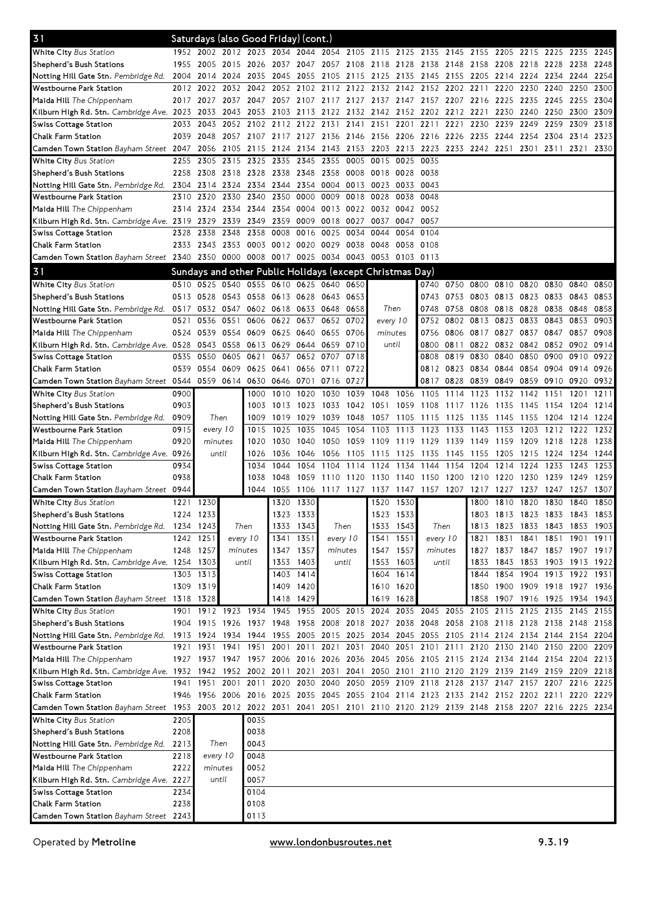| 31                                                                                                                          |           |                     |                | Saturdays (also Good Friday) (cont.)                     |                |                |                                              |           |                |                               |           |                |                                                                                      |      |                          |      |      |      |
|-----------------------------------------------------------------------------------------------------------------------------|-----------|---------------------|----------------|----------------------------------------------------------|----------------|----------------|----------------------------------------------|-----------|----------------|-------------------------------|-----------|----------------|--------------------------------------------------------------------------------------|------|--------------------------|------|------|------|
| <b>White City Bus Station</b>                                                                                               |           |                     |                |                                                          |                |                |                                              |           |                |                               |           |                | 1952 2002 2012 2023 2034 2044 2054 2105 2115 2125 2135 2145 2155 2205 2215 2225 2235 |      |                          |      |      | 2245 |
| Shepherd's Bush Stations                                                                                                    | 1955      | 2005 2015 2026      |                |                                                          | 2037 2047      |                |                                              |           |                |                               |           |                | 2057 2108 2118 2128 2138 2148 2158 2208 2218 2228                                    |      |                          |      | 2238 | 2248 |
| Notting Hill Gate Stn. Pembridge Rd.                                                                                        | 2004      |                     | 2014 2024 2035 |                                                          |                | 2045 2055 2105 |                                              |           |                | 2115 2125 2135 2145 2155 2205 |           |                |                                                                                      | 2214 | 2224 2234                |      | 2244 | 2254 |
| Westbourne Park Station                                                                                                     | 2012      | 2022                | 2032           | 2042                                                     | 2052           | 2102 2112      |                                              | 2122      | 2132 2142      |                               | 2152      | 2202 2211      |                                                                                      | 2220 | 2230                     | 2240 | 2250 | 2300 |
| Maida Hill The Chippenham                                                                                                   |           | 2017 2027           |                | 2037 2047                                                |                |                | 2057 2107 2117 2127 2137 2147 2157 2207 2216 |           |                |                               |           |                |                                                                                      |      | 2225 2235 2245           |      | 2255 | 2304 |
| Kilburn High Rd. Stn. Cambridge Ave. 2023                                                                                   |           | 2033                | 2043           | 2053                                                     |                | 2103 2113 2122 |                                              |           |                | 2132 2142 2152 2202 2212 2221 |           |                |                                                                                      | 2230 | 2240 2250                |      | 2300 | 2309 |
| Swiss Cottage Station                                                                                                       | 2033      | 2043                |                | 2052 2102                                                |                | 2112 2122 2131 |                                              | 2141 2151 |                | 2201                          | 2211      | 2221           | 2230                                                                                 | 2239 | 2249 2259                |      | 2309 | 2318 |
| <b>Chalk Farm Station</b>                                                                                                   | 2039      | 2048                |                | 2057 2107                                                |                | 2117 2127 2136 |                                              |           | 2146 2156 2206 |                               |           | 2216 2226 2235 |                                                                                      | 2244 | 2254 2304                |      | 2314 | 2323 |
| Camden Town Station Bayham Street 2047                                                                                      |           | 2056                | 2105 2115      |                                                          | 2124           | 2134           | 2143                                         |           |                |                               |           |                | 2153 2203 2213 2223 2233 2242 2251                                                   |      | 2301 2311                |      | 2321 | 2330 |
| White City Bus Station                                                                                                      | 2255      | 2305                | 2315           | 2325                                                     | 2335           | 2345           | 2355                                         | 0005      | 0015           | 0025                          | 0035      |                |                                                                                      |      |                          |      |      |      |
| Shepherd's Bush Stations                                                                                                    | 2258      | 2308                | 2318 2328      |                                                          | 2338           | 2348 2358      |                                              | 0008      | 0018 0028      |                               | 0038      |                |                                                                                      |      |                          |      |      |      |
| Notting Hill Gate Stn. Pembridge Rd.                                                                                        | 2304      |                     | 2314 2324 2334 |                                                          |                | 2344 2354 0004 |                                              | 0013 0023 |                | 0033                          | 0043      |                |                                                                                      |      |                          |      |      |      |
| <b>Westbourne Park Station</b>                                                                                              | 2310      | 2320                |                | 2330 2340                                                | 2350           | 0000 0009      |                                              | 0018 0028 |                | 0038                          | 0048      |                |                                                                                      |      |                          |      |      |      |
| Maida Hill The Chippenham                                                                                                   | 2314      | 2324                |                | 2334 2344                                                | 2354           |                | 0004 0013                                    | 0022      | 0032 0042      |                               | 0052      |                |                                                                                      |      |                          |      |      |      |
| Kilburn High Rd. Stn. Cambridge Ave. 2319                                                                                   |           | 2329                | 2339 2349      |                                                          |                | 2359 0009 0018 |                                              | 0027      | 0037 0047      |                               | 0057      |                |                                                                                      |      |                          |      |      |      |
| <b>Swiss Cottage Station</b>                                                                                                | 2328      | 2338                | 2348           | 2358                                                     | 0008           | 0016           | 0025                                         | 0034      | 0044           | 0054                          | 0104      |                |                                                                                      |      |                          |      |      |      |
| Chalk Farm Station                                                                                                          | 2333      |                     | 2343 2353 0003 |                                                          | 0012 0020 0029 |                |                                              |           | 0038 0048 0058 |                               | 0108      |                |                                                                                      |      |                          |      |      |      |
| Camden Town Station Bayham Street 2340 2350 0000 0008                                                                       |           |                     |                |                                                          |                |                | 0017 0025 0034 0043 0053 0103 0113           |           |                |                               |           |                |                                                                                      |      |                          |      |      |      |
| 31                                                                                                                          |           |                     |                | Sundays and other Public Holidays (except Christmas Day) |                |                |                                              |           |                |                               |           |                |                                                                                      |      |                          |      |      |      |
| White City Bus Station                                                                                                      |           |                     |                | 0510 0525 0540 0555 0610 0625 0640                       |                |                |                                              | 0650      |                |                               | 0740      | 0750           | 0800                                                                                 | 0810 | 0820                     | 0830 | 0840 | 0850 |
| Shepherd's Bush Stations                                                                                                    | 0513      | 0528                | 0543 0558      |                                                          | 0613 0628 0643 |                |                                              | 0653      |                |                               | 0743      | 0753           | 0803                                                                                 | 0813 | 0823 0833                |      | 0843 | 0853 |
| Notting Hill Gate Stn. Pembridge Rd. 0517 0532 0547 0602 0618 0633 0648                                                     |           |                     |                |                                                          |                |                |                                              | 0658      |                | Then                          | 0748      |                | 0758 0808                                                                            |      | 0818 0828 0838           |      | 0848 | 0858 |
| <b>Westbourne Park Station</b>                                                                                              | 0521      | 0536                | 0551           | 0606                                                     | 0622 0637      |                | 0652                                         | 0702      | every 10       |                               | 0752      | 0802           | 0813                                                                                 | 0823 | 0833                     | 0843 | 0853 | 0903 |
| Maida Hill The Chippenham                                                                                                   | 0524      |                     | 0539 0554 0609 |                                                          | 0625           | 0640           | 0655                                         | 0706      | minutes        |                               | 0756      |                | 0806 0817 0827                                                                       |      | 0837 0847                |      | 0857 | 0908 |
| Kilburn High Rd. Stn. Cambridge Ave. 0528                                                                                   |           | 0543 0558 0613      |                |                                                          |                | 0629 0644 0659 |                                              | 0710      | until          |                               | 0800      | 0811           |                                                                                      |      | 0822 0832 0842 0852      |      | 0902 | 0914 |
| <b>Swiss Cottage Station</b>                                                                                                | 0535      | 0550                |                | 0605 0621                                                | 0637           |                | 0652 0707                                    | 0718      |                |                               | 0808      |                | 0819 0830                                                                            | 0840 | 0850 0900                |      | 0910 | 0922 |
| Chalk Farm Station                                                                                                          | 0539      | 0554                |                | 0609 0625                                                | 0641           |                | 0656 0711                                    | 0722      |                |                               |           | 0812 0823 0834 |                                                                                      | 0844 | 0854 0904                |      | 0914 | 0926 |
| Camden Town Station Bayham Street 0544 0559 0614 0630                                                                       |           |                     |                |                                                          |                | 0646 0701 0716 |                                              | 0727      |                |                               | 0817      | 0828 0839      |                                                                                      | 0849 | 0859 0910                |      | 0920 | 0932 |
| White City Bus Station                                                                                                      | 0900      |                     |                | 1000                                                     | 1010           | 1020           | 1030                                         |           | 1039 1048      | 1056                          | 1105 1114 |                | 1123                                                                                 | 1132 | 1142                     | 1151 | 1201 | 1211 |
| Shepherd's Bush Stations                                                                                                    | 0903      |                     |                | 1003                                                     |                | 1013 1023      | 1033                                         |           | 1042 1051      | 1059                          | 1108      | 1117 1126      |                                                                                      | 1135 | 1145 1154                |      | 1204 | 1214 |
| Notting Hill Gate Stn. Pembridge Rd.                                                                                        | 0909      | Then                |                | 1009                                                     |                | 1019 1029      | 1039                                         | 1048      | 1057           | 1105                          |           | 1115 1125 1135 |                                                                                      | 1145 | 1155 1204                |      | 1214 | 1224 |
| <b>Westbourne Park Station</b>                                                                                              | 0915      | every 10            |                | 1015                                                     | 1025           | 1035           | 1045                                         | 1054      | 1103           | 1113                          | 1123 1133 |                | 1143                                                                                 | 1153 | 1203 1212                |      | 1222 | 1232 |
| Maida Hill The Chippenham                                                                                                   | 0920      | minutes             |                | 1020                                                     | 1030           | 1040           | 1050                                         |           |                | 1059 1109 1119 1129 1139 1149 |           |                |                                                                                      | 1159 | 1209 1218                |      | 1228 | 1238 |
| Kilburn High Rd. Stn. Cambridge Ave. 0926                                                                                   |           | until               |                | 1026                                                     | 1036           | 1046 1056      |                                              | 1105      | 1115           | 1125                          | 1135      | 1145 1155      |                                                                                      | 1205 | 1215 1224                |      | 1234 | 1244 |
| <b>Swiss Cottage Station</b>                                                                                                | 0934      |                     |                | 1034                                                     | 1044           | 1054           | 1104                                         | 1114 1124 |                | 1134                          | 1144      | 1154           | 1204                                                                                 | 1214 | 1224                     | 1233 | 1243 | 1253 |
| <b>Chalk Farm Station</b>                                                                                                   | 0938      |                     |                | 1038                                                     | 1048           |                | 1059 1110 1120 1130 1140                     |           |                |                               |           |                | 1150 1200 1210 1220                                                                  |      | 1230 1239                |      | 1249 | 1259 |
| Camden Town Station Bayham Street 0944                                                                                      |           |                     |                | 1044                                                     |                |                |                                              |           |                |                               |           |                | 1055 1106 1117 1127 1137 1147 1157 1207 1217 1227                                    |      | 1237 1247                |      | 1257 | 1307 |
| <b>White City Bus Station</b>                                                                                               | 1221      | 1230                |                |                                                          |                | 1320 1330      |                                              |           | 1520           | 1530                          |           |                | 1800                                                                                 | 1810 | 1820                     | 1830 | 1840 | 1850 |
| Shepherd's Bush Stations                                                                                                    |           | 1224 1233           |                |                                                          |                | 1323 1333      |                                              |           |                | 1523 1533                     |           |                | 1803                                                                                 |      | 1813 1823 1833           |      | 1843 | 1853 |
| Notting Hill Gate Stn. Pembridge Rd. 1234 1243                                                                              |           |                     |                | Then                                                     |                | 1333 1343      |                                              | Then      |                | 1533 1543                     | Then      |                | 1813                                                                                 |      | 1823 1833 1843 1853 1903 |      |      |      |
| Westbourne Park Station                                                                                                     | 1242 1251 |                     |                | every 10                                                 |                | 1341 1351      | every 10                                     |           |                | 1541 1551                     | every 10  |                | 1821                                                                                 | 1831 | 1841                     | 1851 | 1901 | 1911 |
| Maida Hill The Chippenham                                                                                                   |           | 1248 1257           |                | minutes                                                  |                | 1347 1357      |                                              | minutes   |                | 1547 1557                     | minutes   |                | 1827                                                                                 |      | 1837 1847 1857 1907 1917 |      |      |      |
| Kilburn High Rd. Stn. Cambridge Ave. 1254 1303                                                                              |           |                     |                | until                                                    |                | 1353 1403      |                                              | until     |                | 1553 1603                     | until     |                | 1833                                                                                 |      | 1843 1853 1903 1913 1922 |      |      |      |
| Swiss Cottage Station                                                                                                       |           | 1303 1313           |                |                                                          |                | 1403 1414      |                                              |           |                | 1604 1614                     |           |                | 1844                                                                                 |      | 1854 1904 1913 1922 1931 |      |      |      |
| Chalk Farm Station                                                                                                          |           | 1309 1319           |                |                                                          |                | 1409 1420      |                                              |           |                | 1610 1620                     |           |                | 1850                                                                                 |      | 1900 1909 1918 1927 1936 |      |      |      |
| Camden Town Station Bayham Street 1318 1328                                                                                 |           |                     |                |                                                          | 1418 1429      |                |                                              |           |                | 1619 1628                     |           |                | 1858                                                                                 |      | 1907 1916 1925 1934 1943 |      |      |      |
| White City Bus Station                                                                                                      |           | 1901 1912 1923 1934 |                |                                                          | 1945 1955 2005 |                |                                              |           |                | 2015 2024 2035 2045 2055 2105 |           |                |                                                                                      | 2115 | 2125 2135 2145           |      |      | 2155 |
| Shepherd's Bush Stations                                                                                                    |           |                     |                |                                                          |                |                |                                              |           |                |                               |           |                | 1904 1915 1926 1937 1948 1958 2008 2018 2027 2038 2048 2058 2108 2118 2128 2138 2148 |      |                          |      |      | 2158 |
| Notting Hill Gate Stn. Pembridge Rd.                                                                                        |           | 1913 1924           |                | 1934 1944                                                |                |                |                                              |           |                |                               |           |                | 1955 2005 2015 2025 2034 2045 2055 2105 2114 2124 2134 2144 2154 2204                |      |                          |      |      |      |
| Westbourne Park Station                                                                                                     |           | 1921 1931           |                | 1941 1951                                                |                | 2001 2011      |                                              | 2021 2031 | 2040           |                               |           |                | 2051 2101 2111 2120 2130 2140 2150 2200 2209                                         |      |                          |      |      |      |
| Maida Hill The Chippenham                                                                                                   |           |                     |                |                                                          |                |                |                                              |           |                |                               |           |                | 1927 1937 1947 1957 2006 2016 2026 2036 2045 2056 2105 2115 2124 2134 2144 2154 2204 |      |                          |      |      | 2213 |
| Kilburn High Rd. Stn. Cambridge Ave. 1932 1942 1952 2002 2011 2021 2031 2041 2050 2101 2110 2120 2129 2139 2149 2159 2209   |           |                     |                |                                                          |                |                |                                              |           |                |                               |           |                |                                                                                      |      |                          |      |      | 2218 |
| Swiss Cottage Station                                                                                                       |           | 1941 1951           |                | 2001 2011 2020 2030 2040                                 |                |                |                                              |           |                |                               |           |                | 2050 2059 2109 2118 2128 2137 2147 2157 2207 2216                                    |      |                          |      |      | 2225 |
| Chalk Farm Station                                                                                                          |           |                     |                |                                                          |                |                |                                              |           |                |                               |           |                | 1946 1956 2006 2016 2025 2035 2045 2055 2104 2114 2123 2133 2142 2152 2202 2211 2220 |      |                          |      |      | 2229 |
| Camden Town Station Bayham Street 1953 2003 2012 2022 2031 2041 2051 2101 2110 2120 2129 2139 2148 2158 2207 2216 2225 2234 |           |                     |                |                                                          |                |                |                                              |           |                |                               |           |                |                                                                                      |      |                          |      |      |      |
| White City Bus Station                                                                                                      | 2205      |                     |                | 0035                                                     |                |                |                                              |           |                |                               |           |                |                                                                                      |      |                          |      |      |      |
| Shepherd's Bush Stations                                                                                                    | 2208      |                     |                | 0038                                                     |                |                |                                              |           |                |                               |           |                |                                                                                      |      |                          |      |      |      |
| Notting Hill Gate Stn. Pembridge Rd.                                                                                        | 2213      | Then                |                | 0043                                                     |                |                |                                              |           |                |                               |           |                |                                                                                      |      |                          |      |      |      |
| Westbourne Park Station                                                                                                     | 2218      | every 10            |                | 0048                                                     |                |                |                                              |           |                |                               |           |                |                                                                                      |      |                          |      |      |      |
| Maida Hill The Chippenham                                                                                                   | 2222      | minutes             |                | 0052                                                     |                |                |                                              |           |                |                               |           |                |                                                                                      |      |                          |      |      |      |
| Kilburn High Rd. Stn. Cambridge Ave. 2227                                                                                   |           |                     | until          | 0057                                                     |                |                |                                              |           |                |                               |           |                |                                                                                      |      |                          |      |      |      |
| Swiss Cottage Station                                                                                                       | 2234      |                     |                | 0104                                                     |                |                |                                              |           |                |                               |           |                |                                                                                      |      |                          |      |      |      |
|                                                                                                                             |           |                     |                |                                                          |                |                |                                              |           |                |                               |           |                |                                                                                      |      |                          |      |      |      |
| Chalk Farm Station                                                                                                          | 2238      |                     |                | 0108                                                     |                |                |                                              |           |                |                               |           |                |                                                                                      |      |                          |      |      |      |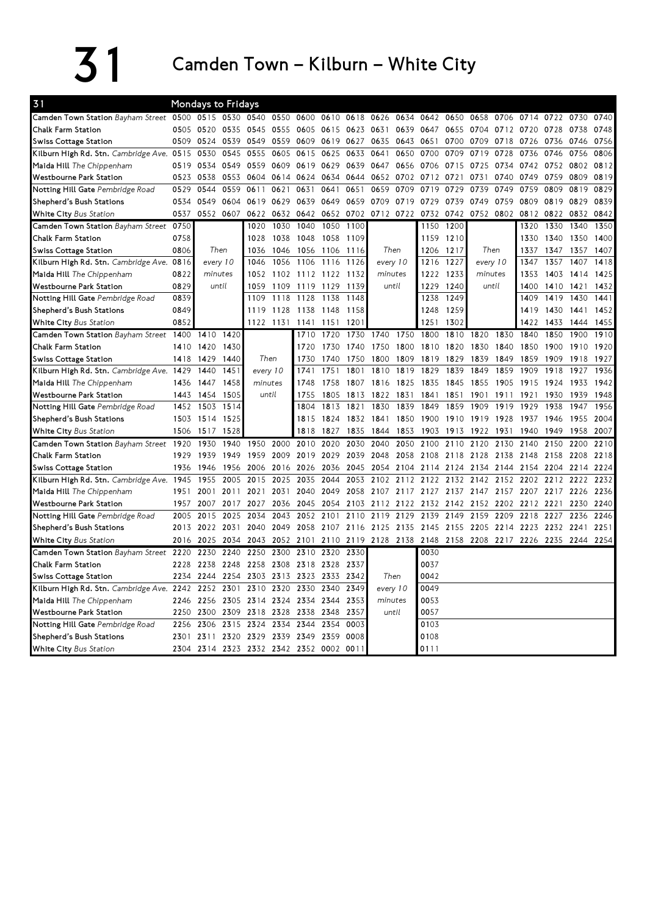$31$  Camden Town – Kilburn – White City

| 31                                        |      | <b>Mondays to Fridays</b> |          |                          |           |                |      |                  |                |      |           |      |                          |                |      |      |           |      |
|-------------------------------------------|------|---------------------------|----------|--------------------------|-----------|----------------|------|------------------|----------------|------|-----------|------|--------------------------|----------------|------|------|-----------|------|
| Camden Town Station Bayham Street         | 0500 | 0515 0530                 |          | 0540                     | 0550      | 0600           | 0610 | 0618             | 0626           | 0634 | 0642      | 0650 | 0658                     | 0706           | 0714 | 0722 | 0730      | 0740 |
| Chalk Farm Station                        |      | 0505 0520                 | 0535     | 0545                     | 0555      | 0605           | 0615 | 0623 0631        |                | 0639 | 0647      | 0655 |                          | 0704 0712 0720 |      | 0728 | 0738      | 0748 |
| <b>Swiss Cottage Station</b>              | 0509 | 0524                      | 0539     | 0549                     | 0559      | 0609           | 0619 | 0627             | 0635           | 0643 | 0651      | 0700 | 0709                     | 0718           | 0726 | 0736 | 0746      | 0756 |
| Kilburn High Rd. Stn. Cambridge Ave. 0515 |      | 0530                      | 0545     | 0555                     | 0605      | 0615           | 0625 | 0633             | 0641           | 0650 | 0700      | 0709 | 0719                     | 0728           | 0736 | 0746 | 0756      | 0806 |
| Maida Hill The Chippenham                 | 0519 | 0534                      | 0549     | 0559                     | 0609      | 0619           | 0629 | 0639 0647        |                | 0656 | 0706      | 0715 | 0725                     | 0734           | 0742 | 0752 | 0802      | 0812 |
| <b>Westbourne Park Station</b>            | 0523 | 0538                      | 0553     | 0604                     |           | 0614 0624      | 0634 | 0644             | 0652           | 0702 | 0712      | 0721 | 0731                     | 0740           | 0749 | 0759 | 0809      | 0819 |
| Notting Hill Gate Pembridge Road          | 0529 | 0544                      | 0559     | 0611                     | 0621      | 0631           | 0641 | 0651             | 0659           | 0709 | 0719      | 0729 | 0739                     | 0749           | 0759 | 0809 | 0819      | 0829 |
| Shepherd's Bush Stations                  | 0534 | 0549                      | 0604     | 0619                     | 0629      | 0639           | 0649 |                  | 0659 0709      | 0719 | 0729      | 0739 | 0749                     | 0759           | 0809 | 0819 | 0829      | 0839 |
| White City Bus Station                    | 0537 | 0552                      | 0607     | 0622                     | 0632      | 0642           | 0652 | 0702             | 0712           | 0722 | 0732      | 0742 | 0752                     | 0802           | 0812 | 0822 | 0832      | 0842 |
| Camden Town Station Bayham Street 0750    |      |                           |          | 1020                     | 1030      | 1040           | 1050 | 1100             |                |      | 1150      | 1200 |                          |                | 1320 | 1330 | 1340      | 1350 |
| Chalk Farm Station                        | 0758 |                           |          | 1028                     | 1038      | 1048           | 1058 | 1109             |                |      | 1159      | 1210 |                          |                | 1330 | 1340 | 1350      | 1400 |
| <b>Swiss Cottage Station</b>              | 0806 |                           | Then     | 1036                     |           | 1046 1056 1106 |      | 1116             |                | Then | 1206 1217 |      | Then                     |                | 1337 | 1347 | 1357      | 1407 |
| Kilburn High Rd. Stn. Cambridge Ave. 0816 |      |                           | every 10 | 1046                     | 1056      | 1106           | 1116 | 1126             | every 10       |      | 1216      | 1227 | every 10                 |                | 1347 | 1357 | 1407      | 1418 |
| Maida Hill The Chippenham                 | 0822 | minutes                   |          | 1052                     |           | 1102 1112 1122 |      | 1132             | minutes        |      | 1222      | 1233 | minutes                  |                | 1353 | 1403 | 1414      | 1425 |
| <b>Westbourne Park Station</b>            | 0829 |                           | until    | 1059                     | 1109      | 1119           | 1129 | 1139             | until          |      | 1229      | 1240 | until                    |                | 1400 | 1410 | 1421      | 1432 |
| Notting Hill Gate Pembridge Road          | 0839 |                           |          | 1109                     | 1118      | 1128           | 1138 | 1148             |                |      | 1238      | 1249 |                          |                | 1409 | 1419 | 1430      | 1441 |
| Shepherd's Bush Stations                  | 0849 |                           |          | 1119                     |           | 1128 1138 1148 |      | 1158             |                |      | 1248      | 1259 |                          |                | 1419 | 1430 | 1441      | 1452 |
| White City Bus Station                    | 0852 |                           |          |                          | 1122 1131 | 1141 1151      |      | 120 <sup>7</sup> |                |      | 1251      | 1302 |                          |                | 1422 | 1433 | 1444      | 1455 |
| Camden Town Station Bayham Street 1400    |      | 1410                      | 1420     |                          |           | 1710           | 1720 | 1730             | 1740           | 1750 | 1800      | 1810 | 1820                     | 1830           | 1840 | 1850 | 1900      | 1910 |
| Chalk Farm Station                        |      | 1410 1420                 | 1430     |                          |           | 1720           | 1730 | 1740             | 1750           | 1800 | 1810 1820 |      | 1830                     | 1840           | 1850 | 1900 | 1910      | 1920 |
| Swiss Cottage Station                     | 1418 | 1429                      | 1440     | Then                     |           | 1730           | 1740 | 1750             | 1800           | 1809 | 1819      | 1829 | 1839                     | 1849           | 1859 | 1909 | 1918      | 1927 |
| Kilburn High Rd. Stn. Cambridge Ave. 1429 |      | 1440                      | 1451     | every 10                 |           | 1741           | 1751 | 1801             | 1810           | 1819 | 1829      | 1839 | 1849                     | 1859           | 1909 | 1918 | 1927      | 1936 |
| Maida Hill The Chippenham                 | 1436 | 1447                      | 1458     | minutes                  |           | 1748           | 1758 | 1807             | 1816           | 1825 | 1835      | 1845 | 1855                     | 1905           | 1915 | 1924 | 1933      | 1942 |
| <b>Westbourne Park Station</b>            | 1443 | 1454                      | 1505     | until                    |           | 1755           | 1805 | 1813             | 1822           | 1831 | 1841      | 1851 | 1901                     | 1911           | 1921 | 1930 | 1939      | 1948 |
| Notting Hill Gate Pembridge Road          | 1452 | 1503                      | 1514     |                          |           | 1804           | 1813 | 1821             | 1830           | 1839 | 1849      | 1859 | 1909                     | 1919           | 1929 | 1938 | 1947      | 1956 |
| Shepherd's Bush Stations                  |      | 1503 1514                 | 1525     |                          |           | 1815           | 1824 |                  | 1832 1841      | 1850 | 1900      | 1910 | 1919                     | 1928           | 1937 | 1946 | 1955      | 2004 |
| <b>White City Bus Station</b>             | 1506 | 1517                      | 1528     |                          |           | 1818           | 1827 | 1835             | 1844           | 1853 | 1903      | 1913 | 1922                     | 1931           | 1940 | 1949 | 1958      | 2007 |
| Camden Town Station Bayham Street 1920    |      | 1930                      | 1940     | 1950                     | 2000      | 2010           | 2020 | 2030             | 2040           | 2050 | 2100      | 2110 | 2120                     | 2130           | 2140 | 2150 | 2200      | 2210 |
| <b>Chalk Farm Station</b>                 | 1929 | 1939                      | 1949     | 1959                     | 2009      | 2019           | 2029 | 2039             | 2048           | 2058 | 2108      | 2118 | 2128                     | 2138           | 2148 | 2158 | 2208      | 2218 |
| Swiss Cottage Station                     | 1936 | 1946                      | 1956     | 2006                     | 2016      | 2026           | 2036 | 2045             | 2054           | 2104 | 2114      | 2124 | 2134                     | 2144           | 2154 | 2204 | 2214      | 2224 |
| Kilburn High Rd. Stn. Cambridge Ave. 1945 |      | 1955                      | 2005     | 2015                     | 2025      | 2035           | 2044 | 2053             | 2102           | 2112 | 2122      | 2132 | 2142                     | 2152           | 2202 | 2212 | 2222      | 2232 |
| Maida Hill The Chippenham                 | 1951 | 2001                      | 2011     | 2021                     | 2031      | 2040           | 2049 | 2058             | 2107           | 2117 | 2127      | 2137 | 2147                     | 2157           | 2207 | 2217 | 2226      | 2236 |
| <b>Westbourne Park Station</b>            | 1957 | 2007                      | 2017     | 2027                     | 2036      | 2045           | 2054 |                  | 2103 2112      | 2122 | 2132 2142 |      | 2152                     | 2202           | 2212 | 2221 | 2230      | 2240 |
| Notting Hill Gate Pembridge Road          | 2005 | 2015                      | 2025     | 2034                     | 2043      | 2052           | 2101 | 2110             | 2119           | 2129 | 2139      | 2149 | 2159                     | 2209           | 2218 | 2227 | 2236      | 2246 |
| Shepherd's Bush Stations                  | 2013 | 2022                      | 2031     | 2040                     | 2049      | 2058           | 2107 |                  | 2116 2125      | 2135 | 2145      | 2155 | 2205                     | 2214           | 2223 | 2232 | 2241      | 2251 |
| White City Bus Station                    | 2016 | 2025                      | 2034     | 2043                     | 2052      | 2101           | 2110 |                  | 2119 2128 2138 |      | 2148      |      | 2158 2208 2217 2226 2235 |                |      |      | 2244 2254 |      |
| Camden Town Station Bayham Street         | 2220 | 2230                      | 2240     | 2250                     | 2300      | 2310           | 2320 | 2330             |                |      | 0030      |      |                          |                |      |      |           |      |
| Chalk Farm Station                        | 2228 | 2238                      | 2248     | 2258                     | 2308      | 2318           | 2328 | 2337             |                |      | 0037      |      |                          |                |      |      |           |      |
| Swiss Cottage Station                     | 2234 | 2244                      | 2254     | 2303                     |           | 2313 2323      | 2333 | 2342             | Then           |      | 0042      |      |                          |                |      |      |           |      |
| Kilburn High Rd. Stn. Cambridge Ave. 2242 |      | 2252                      | 2301     | 2310                     | 2320      | 2330           | 2340 | 2349             | every 10       |      | 0049      |      |                          |                |      |      |           |      |
| Maida Hill The Chippenham                 | 2246 |                           |          | 2256 2305 2314 2324 2334 |           |                | 2344 | 2353             | minutes        |      | 0053      |      |                          |                |      |      |           |      |
| <b>Westbourne Park Station</b>            | 2250 | 2300                      | 2309     | 2318                     | 2328      | 2338           | 2348 | 2357             | until          |      | 0057      |      |                          |                |      |      |           |      |
| Notting Hill Gate Pembridge Road          | 2256 | 2306                      | 2315     | 2324                     | 2334      | 2344           | 2354 | 0003             |                |      | 0103      |      |                          |                |      |      |           |      |
| Shepherd's Bush Stations                  | 2301 | 2311                      | 2320     | 2329                     |           | 2339 2349      | 2359 | 0008             |                |      | 0108      |      |                          |                |      |      |           |      |
| White City Bus Station                    | 2304 | 2314 2323                 |          | 2332                     | 2342      | 2352           | 0002 | 0011             |                |      | 0111      |      |                          |                |      |      |           |      |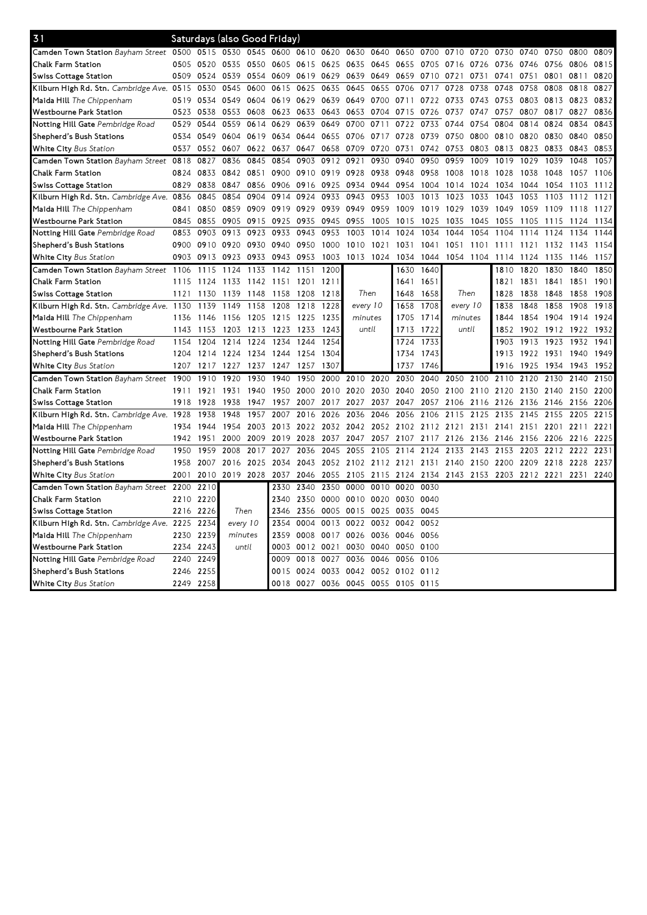| 31                                               |      |      | Saturdays (also Good Friday) |      |                |                |      |                                         |      |      |                          |                          |      |      |           |      |      |      |
|--------------------------------------------------|------|------|------------------------------|------|----------------|----------------|------|-----------------------------------------|------|------|--------------------------|--------------------------|------|------|-----------|------|------|------|
| Camden Town Station Bayham Street 0500           |      | 0515 | 0530                         | 0545 | 0600 0610 0620 |                |      | 0630                                    | 0640 | 0650 | 0700                     | 0710                     | 0720 | 0730 | 0740      | 0750 | 0800 | 0809 |
| Chalk Farm Station                               | 0505 | 0520 | 0535 0550                    |      |                | 0605 0615 0625 |      | 0635                                    | 0645 | 0655 | 0705                     | 0716 0726                |      | 0736 | 0746      | 0756 | 0806 | 0815 |
| Swiss Cottage Station                            | 0509 | 0524 | 0539                         | 0554 | 0609           | 0619 0629      |      | 0639 0649                               |      | 0659 | 0710                     | 0721                     | 0731 | 0741 | 0751      | 0801 | 0811 | 0820 |
| Kilburn High Rd. Stn. Cambridge Ave. 0515        |      | 0530 | 0545                         | 0600 | 0615           | 0625           | 0635 | 0645                                    | 0655 | 0706 | 0717                     | 0728                     | 0738 | 0748 | 0758      | 0808 | 0818 | 0827 |
| Maida Hill <i>The Chippenham</i>                 | 0519 | 0534 | 0549                         | 0604 | 0619 0629      |                | 0639 | 0649                                    | 0700 | 0711 | 0722                     | 0733                     | 0743 | 0753 | 0803 0813 |      | 0823 | 0832 |
| Westbourne Park Station                          | 0523 | 0538 | 0553                         | 0608 | 0623           | 0633           | 0643 | 0653                                    | 0704 | 0715 | 0726                     | 0737                     | 0747 | 0757 | 0807      | 0817 | 0827 | 0836 |
| Notting Hill Gate Pembridge Road                 | 0529 | 0544 | 0559                         | 0614 | 0629           | 0639           | 0649 | 0700                                    | 0711 | 0722 | 0733                     | 0744                     | 0754 | 0804 | 0814      | 0824 | 0834 | 0843 |
| Shepherd's Bush Stations                         | 0534 | 0549 | 0604 0619                    |      | 0634           | 0644           | 0655 | 0706 0717                               |      | 0728 | 0739                     | 0750                     | 0800 | 0810 | 0820 0830 |      | 0840 | 0850 |
| <b>White City</b> Bus Station                    | 0537 | 0552 | 0607                         | 0622 | 0637           | 0647           | 0658 | 0709                                    | 0720 | 0731 | 0742                     | 0753                     | 0803 | 0813 | 0823      | 0833 | 0843 | 0853 |
| Camden Town Station Bayham Street                | 0818 | 0827 | 0836                         | 0845 | 0854           | 0903           | 0912 | 0921                                    | 0930 | 0940 | 0950                     | 0959                     | 1009 | 1019 | 1029      | 1039 | 1048 | 1057 |
| Chalk Farm Station                               | 0824 | 0833 | 0842 0851                    |      | 0900           | 0910           | 0919 | 0928                                    | 0938 | 0948 | 0958                     | 1008                     | 1018 | 1028 | 1038      | 1048 | 1057 | 1106 |
| Swiss Cottage Station                            | 0829 | 0838 | 0847                         | 0856 | 0906           | 0916           | 0925 | 0934 0944                               |      | 0954 | 1004                     | 1014                     | 1024 | 1034 | 1044      | 1054 | 1103 | 1112 |
| Kilburn High Rd. Stn. Cambridge Ave. 0836        |      | 0845 | 0854                         | 0904 | 0914           | 0924           | 0933 | 0943                                    | 0953 | 1003 | 1013                     | 1023                     | 1033 | 1043 | 1053      | 1103 | 1112 | 1121 |
| Maida Hill The Chippenham                        | 0841 | 0850 | 0859                         | 0909 | 0919           | 0929           | 0939 | 0949                                    | 0959 | 1009 | 1019                     | 1029                     | 1039 | 1049 | 1059      | 1109 | 1118 | 1127 |
| Westbourne Park Station                          | 0845 | 0855 | 0905 0915                    |      | 0925           | 0935           | 0945 | 0955                                    | 1005 | 1015 | 1025                     | 1035                     | 1045 | 1055 | 1105      | 1115 | 1124 | 1134 |
| Notting Hill Gate Pembridge Road                 | 0853 | 0903 | 0913                         | 0923 | 0933           | 0943           | 0953 | 1003                                    | 1014 | 1024 | 1034                     | 1044                     | 1054 | 1104 | 1114      | 1124 | 1134 | 1144 |
| Shepherd's Bush Stations                         | 0900 |      | 0910 0920 0930               |      | 0940           | 0950 1000      |      | 1010 1021                               |      | 1031 | 1041                     | 1051                     | 1101 | 1111 | 1121 1132 |      | 1143 | 1154 |
| <b>White City</b> Bus Station                    | 0903 | 0913 | 0923                         | 0933 | 0943           | 0953           | 1003 | 1013 1024                               |      | 1034 | 1044                     | 1054 1104                |      | 1114 | 1124      | 1135 | 1146 | 1157 |
| Camden Town Station Bayham Street                | 1106 | 1115 | 1124                         | 1133 | 1142           | 1151           | 1200 |                                         |      | 1630 | 1640                     |                          |      | 1810 | 1820      | 1830 | 1840 | 1850 |
| Chalk Farm Station                               | 1115 | 1124 | 1133                         | 1142 | 1151 1201 1211 |                |      |                                         |      | 1641 | 1651                     |                          |      | 1821 | 1831      | 1841 | 1851 | 1901 |
| Swiss Cottage Station                            | 1121 | 1130 | 1139                         | 1148 | 1158           | 1208           | 1218 | Then                                    |      | 1648 | 1658                     | Then                     |      | 1828 | 1838      | 1848 | 1858 | 1908 |
| <b>Kilburn High Rd. Stn.</b> Cambridge Ave. 1130 |      | 1139 | 1149                         | 1158 | 1208           | 1218           | 1228 | every 10                                |      | 1658 | 1708                     | every 10                 |      | 1838 | 1848      | 1858 | 1908 | 1918 |
| Maida Hill The Chippenham                        | 1136 | 1146 | 1156                         | 1205 | 1215 1225      |                | 1235 | minutes                                 |      | 1705 | 1714                     | minutes                  |      | 1844 | 1854      | 1904 | 1914 | 1924 |
| Westbourne Park Station                          | 1143 | 1153 | 1203                         | 1213 | 1223           | 1233           | 1243 | until                                   |      | 1713 | 1722                     | until                    |      | 1852 | 1902      | 1912 | 1922 | 1932 |
| <b>Notting Hill Gate</b> Pembridge Road          | 1154 | 1204 | 1214                         | 1224 | 1234           | 1244           | 1254 |                                         |      | 1724 | 1733                     |                          |      | 1903 | 1913      | 1923 | 1932 | 1941 |
| Shepherd's Bush Stations                         | 1204 | 1214 | 1224 1234                    |      | 1244           | 1254           | 1304 |                                         |      | 1734 | 1743                     |                          |      | 1913 | 1922 1931 |      | 1940 | 1949 |
| <b>White City</b> Bus Station                    | 1207 | 1217 | 1227                         | 1237 | 1247           | 1257           | 1307 |                                         |      | 1737 | 1746                     |                          |      | 1916 | 1925      | 1934 | 1943 | 1952 |
| Camden Town Station Bayham Street                | 1900 | 1910 | 1920                         | 1930 | 1940           | 1950           | 2000 | 2010                                    | 2020 | 2030 | 2040                     | 2050                     | 2100 | 2110 | 2120      | 2130 | 2140 | 2150 |
| Chalk Farm Station                               | 1911 | 1921 | 1931                         | 1940 | 1950           | 2000           | 2010 | 2020                                    | 2030 | 2040 | 2050                     | 2100                     | 2110 | 2120 | 2130      | 2140 | 2150 | 2200 |
| Swiss Cottage Station                            | 1918 | 1928 | 1938                         | 1947 | 1957           | 2007           | 2017 | 2027                                    | 2037 | 2047 | 2057                     | 2106 2116                |      | 2126 | 2136      | 2146 | 2156 | 2206 |
| Kilburn High Rd. Stn. <i>Cambridge Ave.</i>      | 1928 | 1938 | 1948                         | 1957 | 2007           | 2016           | 2026 | 2036                                    | 2046 | 2056 | 2106                     | 2115                     | 2125 | 2135 | 2145      | 2155 | 2205 | 2215 |
| Maida Hill <i>The Chippenham</i>                 | 1934 | 1944 | 1954                         | 2003 | 2013           | 2022 2032      |      | 2042                                    |      |      | 2052 2102 2112 2121 2131 |                          |      | 2141 | 2151      | 2201 | 2211 | 2221 |
| Westbourne Park Station                          | 1942 | 1951 | 2000                         | 2009 | 2019           | 2028           | 2037 | 2047 2057                               |      |      | 2107 2117 2126           |                          | 2136 | 2146 | 2156 2206 |      | 2216 | 2225 |
| <b>Notting Hill Gate</b> Pembridge Road          | 1950 | 1959 | 2008                         | 2017 | 2027           | 2036           | 2045 | 2055                                    | 2105 | 2114 | 2124                     | 2133                     | 2143 | 2153 | 2203      | 2212 | 2222 | 2231 |
| Shepherd's Bush Stations                         | 1958 | 2007 | 2016 2025                    |      | 2034           |                |      | 2043 2052 2102 2112 2121 2131 2140 2150 |      |      |                          |                          |      | 2200 | 2209 2218 |      | 2228 | 2237 |
| <b>White City</b> Bus Station                    | 2001 | 2010 | 2019 2028                    |      | 2037           | 2046           | 2055 | 2105                                    | 2115 | 2124 | 2134                     | 2143 2153 2203 2212 2221 |      |      |           |      | 2231 | 2240 |
| Camden Town Station Bayham Street                | 2200 | 2210 |                              |      | 2330           | 2340           | 2350 | 0000                                    | 0010 | 0020 | 0030                     |                          |      |      |           |      |      |      |
| Chalk Farm Station                               | 2210 | 2220 |                              |      | 2340           | 2350           | 0000 | 0010 0020                               |      | 0030 | 0040                     |                          |      |      |           |      |      |      |
| Swiss Cottage Station                            | 2216 | 2226 | Then                         |      | 2346           | 2356           | 0005 | 0015                                    | 0025 | 0035 | 0045                     |                          |      |      |           |      |      |      |
| Kilburn High Rd. Stn. Cambridge Ave. 2225        |      | 2234 | every 10                     |      | 2354           | 0004           | 0013 | 0022 0032                               |      | 0042 | 0052                     |                          |      |      |           |      |      |      |
| Maida Hill <i>The Chippenham</i>                 | 2230 | 2239 | minutes                      |      | 2359           | 0008           | 0017 | 0026                                    | 0036 | 0046 | 0056                     |                          |      |      |           |      |      |      |
| Westbourne Park Station                          | 2234 | 2243 | until                        |      | 0003           | 0012 0021      |      | 0030                                    | 0040 | 0050 | 0100                     |                          |      |      |           |      |      |      |
| <b>Notting Hill Gate</b> Pembridge Road          | 2240 | 2249 |                              |      | 0009           | 0018           | 0027 | 0036                                    | 0046 | 0056 | 0106                     |                          |      |      |           |      |      |      |
| Shepherd's Bush Stations                         | 2246 | 2255 |                              |      | 0015           | 0024           | 0033 | 0042 0052 0102                          |      |      | 0112                     |                          |      |      |           |      |      |      |
| White City Bus Station                           | 2249 | 2258 |                              |      |                |                |      | 0018 0027 0036 0045 0055 0105 0115      |      |      |                          |                          |      |      |           |      |      |      |